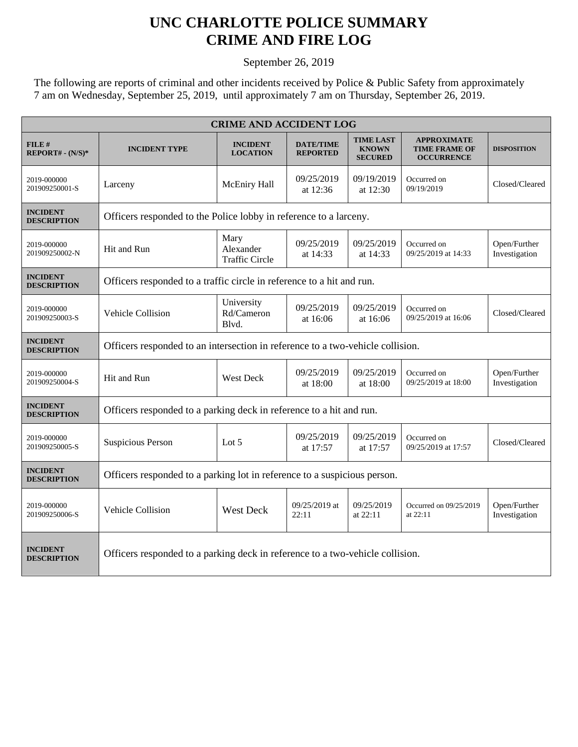## **UNC CHARLOTTE POLICE SUMMARY CRIME AND FIRE LOG**

September 26, 2019

The following are reports of criminal and other incidents received by Police & Public Safety from approximately 7 am on Wednesday, September 25, 2019, until approximately 7 am on Thursday, September 26, 2019.

| <b>CRIME AND ACCIDENT LOG</b>         |                                                                                |                                            |                                     |                                                    |                                                                 |                               |  |  |
|---------------------------------------|--------------------------------------------------------------------------------|--------------------------------------------|-------------------------------------|----------------------------------------------------|-----------------------------------------------------------------|-------------------------------|--|--|
| FILE#<br>$REPORT# - (N/S)*$           | <b>INCIDENT TYPE</b>                                                           | <b>INCIDENT</b><br><b>LOCATION</b>         | <b>DATE/TIME</b><br><b>REPORTED</b> | <b>TIME LAST</b><br><b>KNOWN</b><br><b>SECURED</b> | <b>APPROXIMATE</b><br><b>TIME FRAME OF</b><br><b>OCCURRENCE</b> | <b>DISPOSITION</b>            |  |  |
| 2019-000000<br>201909250001-S         | Larceny                                                                        | McEniry Hall                               | 09/25/2019<br>at 12:36              | 09/19/2019<br>at 12:30                             | Occurred on<br>09/19/2019                                       | Closed/Cleared                |  |  |
| <b>INCIDENT</b><br><b>DESCRIPTION</b> | Officers responded to the Police lobby in reference to a larceny.              |                                            |                                     |                                                    |                                                                 |                               |  |  |
| 2019-000000<br>201909250002-N         | Hit and Run                                                                    | Mary<br>Alexander<br><b>Traffic Circle</b> | 09/25/2019<br>at 14:33              | 09/25/2019<br>at 14:33                             | Occurred on<br>09/25/2019 at 14:33                              | Open/Further<br>Investigation |  |  |
| <b>INCIDENT</b><br><b>DESCRIPTION</b> | Officers responded to a traffic circle in reference to a hit and run.          |                                            |                                     |                                                    |                                                                 |                               |  |  |
| 2019-000000<br>201909250003-S         | Vehicle Collision                                                              | University<br>Rd/Cameron<br>Blvd.          | 09/25/2019<br>at 16:06              | 09/25/2019<br>at 16:06                             | Occurred on<br>09/25/2019 at 16:06                              | Closed/Cleared                |  |  |
| <b>INCIDENT</b><br><b>DESCRIPTION</b> | Officers responded to an intersection in reference to a two-vehicle collision. |                                            |                                     |                                                    |                                                                 |                               |  |  |
| 2019-000000<br>201909250004-S         | Hit and Run                                                                    | <b>West Deck</b>                           | 09/25/2019<br>at 18:00              | 09/25/2019<br>at 18:00                             | Occurred on<br>09/25/2019 at 18:00                              | Open/Further<br>Investigation |  |  |
| <b>INCIDENT</b><br><b>DESCRIPTION</b> | Officers responded to a parking deck in reference to a hit and run.            |                                            |                                     |                                                    |                                                                 |                               |  |  |
| 2019-000000<br>201909250005-S         | <b>Suspicious Person</b>                                                       | Lot $5$                                    | 09/25/2019<br>at 17:57              | 09/25/2019<br>at 17:57                             | Occurred on<br>09/25/2019 at 17:57                              | Closed/Cleared                |  |  |
| <b>INCIDENT</b><br><b>DESCRIPTION</b> | Officers responded to a parking lot in reference to a suspicious person.       |                                            |                                     |                                                    |                                                                 |                               |  |  |
| 2019-000000<br>201909250006-S         | Vehicle Collision                                                              | <b>West Deck</b>                           | 09/25/2019 at<br>22:11              | 09/25/2019<br>at 22:11                             | Occurred on 09/25/2019<br>at 22:11                              | Open/Further<br>Investigation |  |  |
| <b>INCIDENT</b><br><b>DESCRIPTION</b> | Officers responded to a parking deck in reference to a two-vehicle collision.  |                                            |                                     |                                                    |                                                                 |                               |  |  |